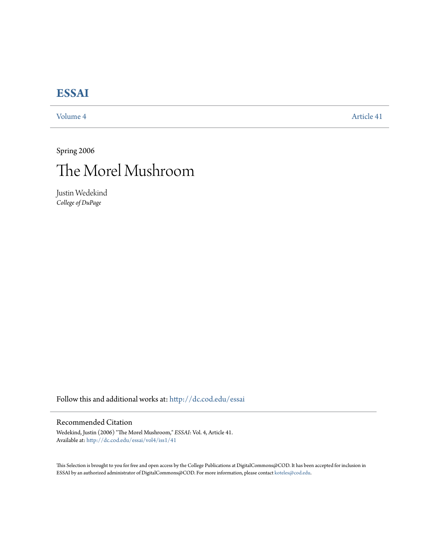## **[ESSAI](http://dc.cod.edu/essai?utm_source=dc.cod.edu%2Fessai%2Fvol4%2Fiss1%2F41&utm_medium=PDF&utm_campaign=PDFCoverPages)**

[Volume 4](http://dc.cod.edu/essai/vol4?utm_source=dc.cod.edu%2Fessai%2Fvol4%2Fiss1%2F41&utm_medium=PDF&utm_campaign=PDFCoverPages) [Article 41](http://dc.cod.edu/essai/vol4/iss1/41?utm_source=dc.cod.edu%2Fessai%2Fvol4%2Fiss1%2F41&utm_medium=PDF&utm_campaign=PDFCoverPages)

Spring 2006



Justin Wedekind *College of DuPage*

Follow this and additional works at: [http://dc.cod.edu/essai](http://dc.cod.edu/essai?utm_source=dc.cod.edu%2Fessai%2Fvol4%2Fiss1%2F41&utm_medium=PDF&utm_campaign=PDFCoverPages)

## Recommended Citation

Wedekind, Justin (2006) "The Morel Mushroom," *ESSAI*: Vol. 4, Article 41. Available at: [http://dc.cod.edu/essai/vol4/iss1/41](http://dc.cod.edu/essai/vol4/iss1/41?utm_source=dc.cod.edu%2Fessai%2Fvol4%2Fiss1%2F41&utm_medium=PDF&utm_campaign=PDFCoverPages)

This Selection is brought to you for free and open access by the College Publications at DigitalCommons@COD. It has been accepted for inclusion in ESSAI by an authorized administrator of DigitalCommons@COD. For more information, please contact [koteles@cod.edu](mailto:koteles@cod.edu).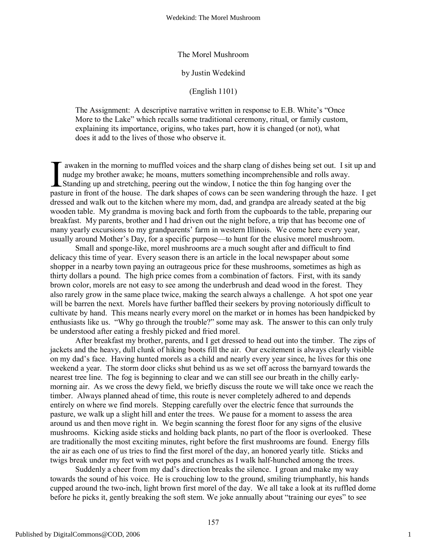The Morel Mushroom

## by Justin Wedekind

(English 1101)

The Assignment: A descriptive narrative written in response to E.B. White's "Once More to the Lake" which recalls some traditional ceremony, ritual, or family custom, explaining its importance, origins, who takes part, how it is changed (or not), what does it add to the lives of those who observe it.

 awaken in the morning to muffled voices and the sharp clang of dishes being set out. I sit up and nudge my brother awake; he moans, mutters something incomprehensible and rolls away. Standing up and stretching, peering out the window, I notice the thin fog hanging over the pasture in front of the house. The dark shapes of cows can be seen wandering through the haze. I get dressed and walk out to the kitchen where my mom, dad, and grandpa are already seated at the big wooden table. My grandma is moving back and forth from the cupboards to the table, preparing our breakfast. My parents, brother and I had driven out the night before, a trip that has become one of many yearly excursions to my grandparents' farm in western Illinois. We come here every year, usually around Mother's Day, for a specific purpose—to hunt for the elusive morel mushroom.  $\prod_{\text{past}}$ 

Small and sponge-like, morel mushrooms are a much sought after and difficult to find delicacy this time of year. Every season there is an article in the local newspaper about some shopper in a nearby town paying an outrageous price for these mushrooms, sometimes as high as thirty dollars a pound. The high price comes from a combination of factors. First, with its sandy brown color, morels are not easy to see among the underbrush and dead wood in the forest. They also rarely grow in the same place twice, making the search always a challenge. A hot spot one year will be barren the next. Morels have further baffled their seekers by proving notoriously difficult to cultivate by hand. This means nearly every morel on the market or in homes has been handpicked by enthusiasts like us. "Why go through the trouble?" some may ask. The answer to this can only truly be understood after eating a freshly picked and fried morel.

After breakfast my brother, parents, and I get dressed to head out into the timber. The zips of jackets and the heavy, dull clunk of hiking boots fill the air. Our excitement is always clearly visible on my dad's face. Having hunted morels as a child and nearly every year since, he lives for this one weekend a year. The storm door clicks shut behind us as we set off across the barnyard towards the nearest tree line. The fog is beginning to clear and we can still see our breath in the chilly earlymorning air. As we cross the dewy field, we briefly discuss the route we will take once we reach the timber. Always planned ahead of time, this route is never completely adhered to and depends entirely on where we find morels. Stepping carefully over the electric fence that surrounds the pasture, we walk up a slight hill and enter the trees. We pause for a moment to assess the area around us and then move right in. We begin scanning the forest floor for any signs of the elusive mushrooms. Kicking aside sticks and holding back plants, no part of the floor is overlooked. These are traditionally the most exciting minutes, right before the first mushrooms are found. Energy fills the air as each one of us tries to find the first morel of the day, an honored yearly title. Sticks and twigs break under my feet with wet pops and crunches as I walk half-hunched among the trees.

Suddenly a cheer from my dad's direction breaks the silence. I groan and make my way towards the sound of his voice. He is crouching low to the ground, smiling triumphantly, his hands cupped around the two-inch, light brown first morel of the day. We all take a look at its ruffled dome before he picks it, gently breaking the soft stem. We joke annually about "training our eyes" to see